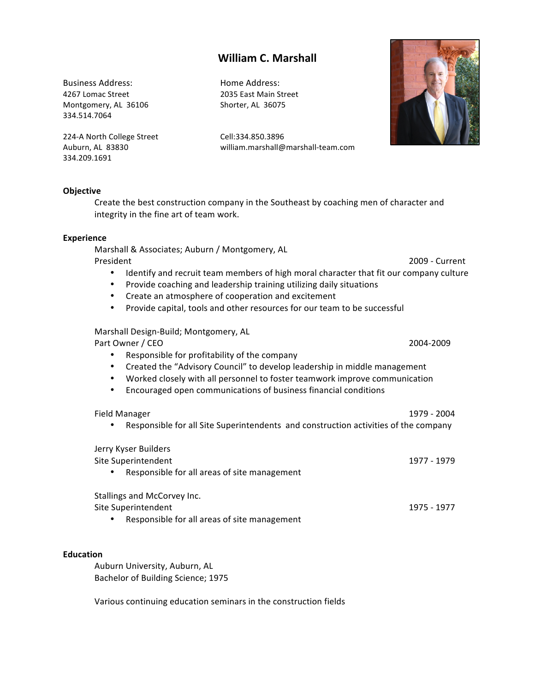# **William C. Marshall**

Business Address: Home Address: 4267 Lomac Street 2035 East Main Street Montgomery, AL 36106 Shorter, AL 36075 334.514.7064

224-A North College Street Cell:334.850.3896 334.209.1691

Auburn, AL 83830 william.marshall@marshall-team.com



### **Objective**

Create the best construction company in the Southeast by coaching men of character and integrity in the fine art of team work.

## **Experience**

| Marshall & Associates; Auburn / Montgomery, AL                                                                                                                                                                                                                                                                                              |                |
|---------------------------------------------------------------------------------------------------------------------------------------------------------------------------------------------------------------------------------------------------------------------------------------------------------------------------------------------|----------------|
| President                                                                                                                                                                                                                                                                                                                                   | 2009 - Current |
| Identify and recruit team members of high moral character that fit our company culture<br>٠<br>Provide coaching and leadership training utilizing daily situations<br>$\bullet$<br>Create an atmosphere of cooperation and excitement<br>$\bullet$<br>Provide capital, tools and other resources for our team to be successful<br>$\bullet$ |                |
| Marshall Design-Build; Montgomery, AL                                                                                                                                                                                                                                                                                                       |                |
| Part Owner / CEO                                                                                                                                                                                                                                                                                                                            | 2004-2009      |
| Responsible for profitability of the company<br>$\bullet$                                                                                                                                                                                                                                                                                   |                |
| Created the "Advisory Council" to develop leadership in middle management<br>$\bullet$                                                                                                                                                                                                                                                      |                |
| Worked closely with all personnel to foster teamwork improve communication<br>٠                                                                                                                                                                                                                                                             |                |
| Encouraged open communications of business financial conditions<br>$\bullet$                                                                                                                                                                                                                                                                |                |
| <b>Field Manager</b>                                                                                                                                                                                                                                                                                                                        | 1979 - 2004    |
| Responsible for all Site Superintendents and construction activities of the company                                                                                                                                                                                                                                                         |                |
| Jerry Kyser Builders<br>Site Superintendent<br>Responsible for all areas of site management                                                                                                                                                                                                                                                 | 1977 - 1979    |
| Stallings and McCorvey Inc.<br>Site Superintendent<br>Responsible for all areas of site management                                                                                                                                                                                                                                          | 1975 - 1977    |

# **Education**

Auburn University, Auburn, AL Bachelor of Building Science; 1975

Various continuing education seminars in the construction fields